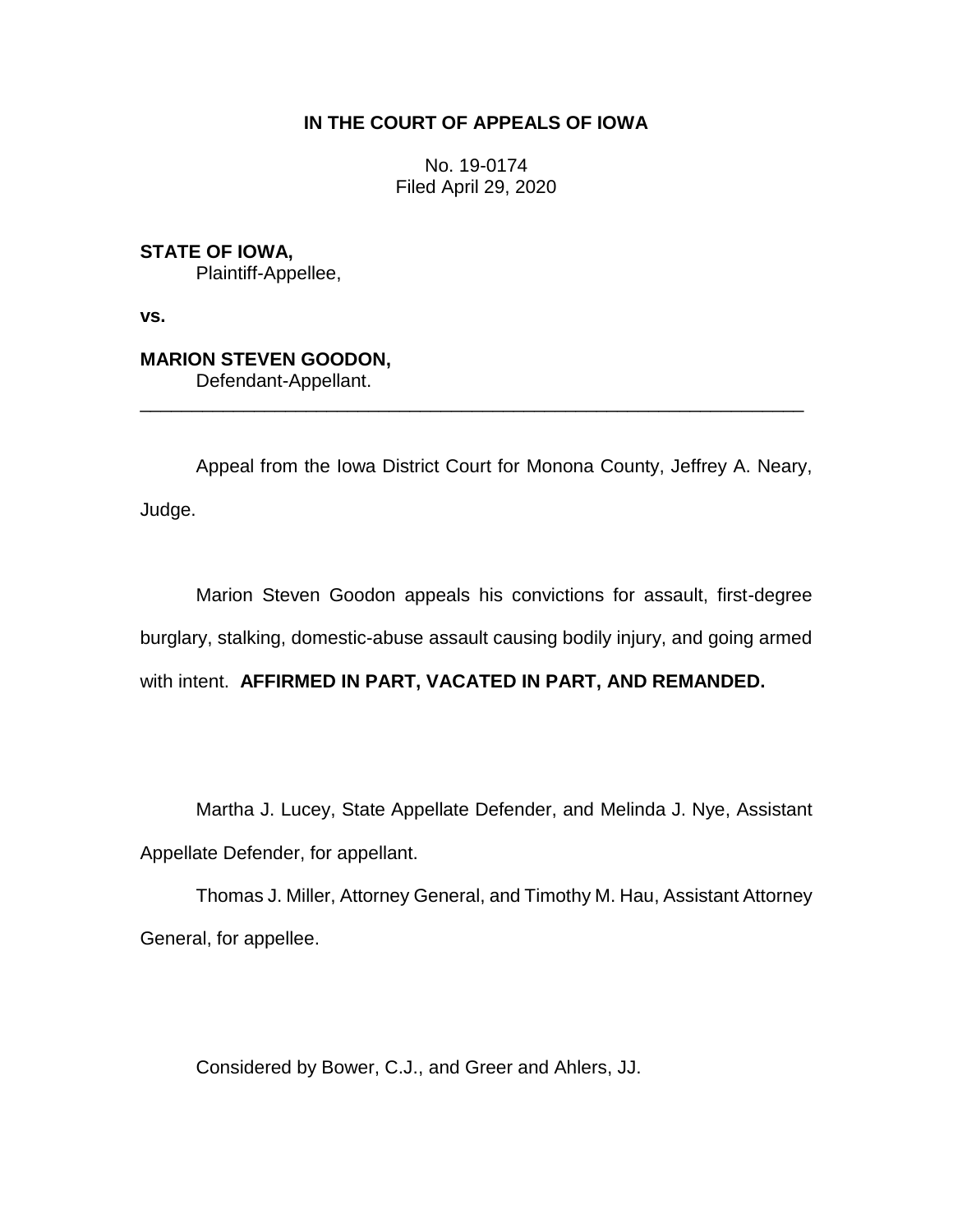## **IN THE COURT OF APPEALS OF IOWA**

No. 19-0174 Filed April 29, 2020

**STATE OF IOWA,** Plaintiff-Appellee,

**vs.**

# **MARION STEVEN GOODON,**

Defendant-Appellant.

Appeal from the Iowa District Court for Monona County, Jeffrey A. Neary, Judge.

\_\_\_\_\_\_\_\_\_\_\_\_\_\_\_\_\_\_\_\_\_\_\_\_\_\_\_\_\_\_\_\_\_\_\_\_\_\_\_\_\_\_\_\_\_\_\_\_\_\_\_\_\_\_\_\_\_\_\_\_\_\_\_\_

Marion Steven Goodon appeals his convictions for assault, first-degree burglary, stalking, domestic-abuse assault causing bodily injury, and going armed with intent. **AFFIRMED IN PART, VACATED IN PART, AND REMANDED.**

Martha J. Lucey, State Appellate Defender, and Melinda J. Nye, Assistant

Appellate Defender, for appellant.

Thomas J. Miller, Attorney General, and Timothy M. Hau, Assistant Attorney General, for appellee.

Considered by Bower, C.J., and Greer and Ahlers, JJ.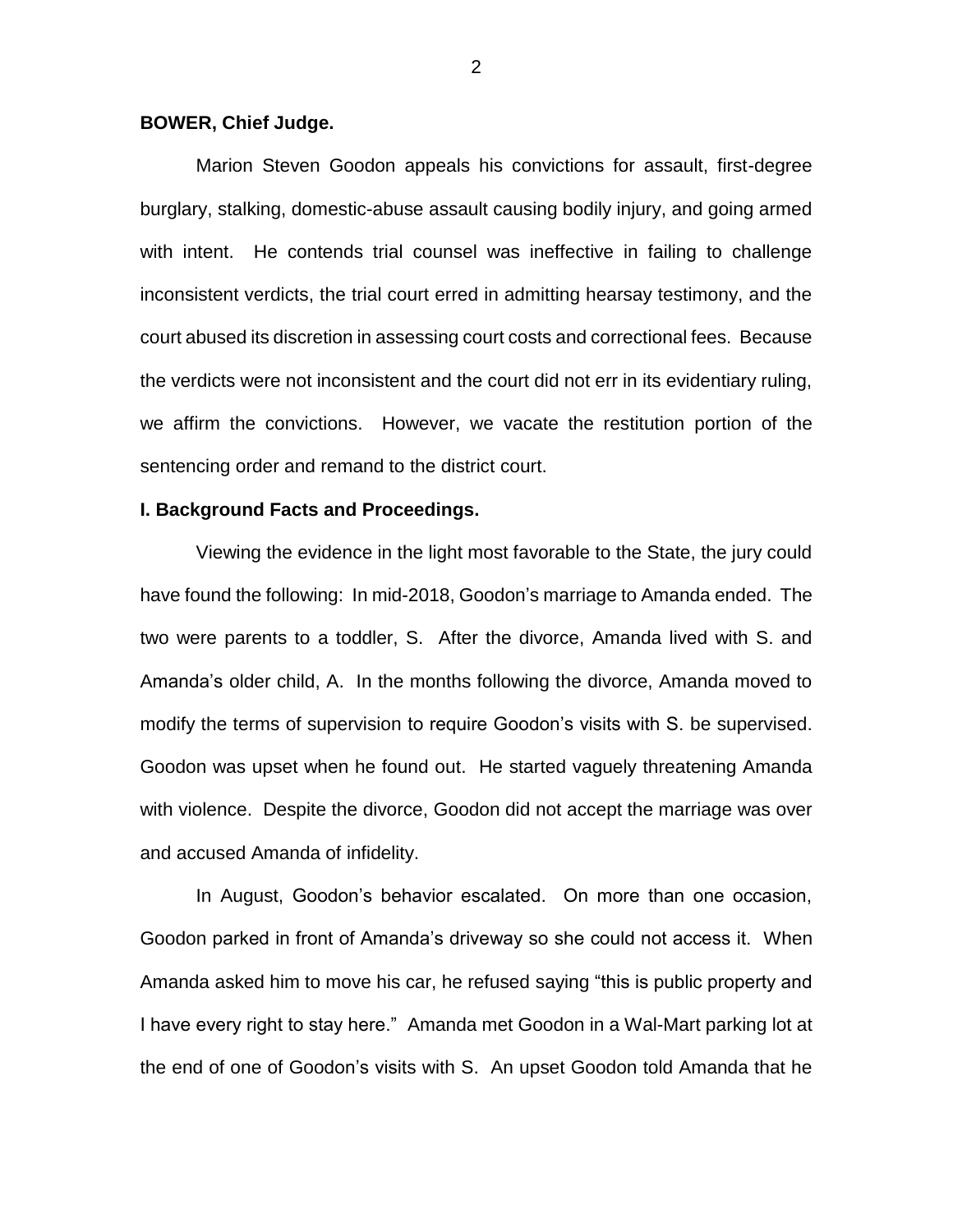### **BOWER, Chief Judge.**

Marion Steven Goodon appeals his convictions for assault, first-degree burglary, stalking, domestic-abuse assault causing bodily injury, and going armed with intent. He contends trial counsel was ineffective in failing to challenge inconsistent verdicts, the trial court erred in admitting hearsay testimony, and the court abused its discretion in assessing court costs and correctional fees. Because the verdicts were not inconsistent and the court did not err in its evidentiary ruling, we affirm the convictions. However, we vacate the restitution portion of the sentencing order and remand to the district court.

### **I. Background Facts and Proceedings.**

Viewing the evidence in the light most favorable to the State, the jury could have found the following: In mid-2018, Goodon's marriage to Amanda ended. The two were parents to a toddler, S. After the divorce, Amanda lived with S. and Amanda's older child, A. In the months following the divorce, Amanda moved to modify the terms of supervision to require Goodon's visits with S. be supervised. Goodon was upset when he found out. He started vaguely threatening Amanda with violence. Despite the divorce, Goodon did not accept the marriage was over and accused Amanda of infidelity.

In August, Goodon's behavior escalated. On more than one occasion, Goodon parked in front of Amanda's driveway so she could not access it. When Amanda asked him to move his car, he refused saying "this is public property and I have every right to stay here." Amanda met Goodon in a Wal-Mart parking lot at the end of one of Goodon's visits with S. An upset Goodon told Amanda that he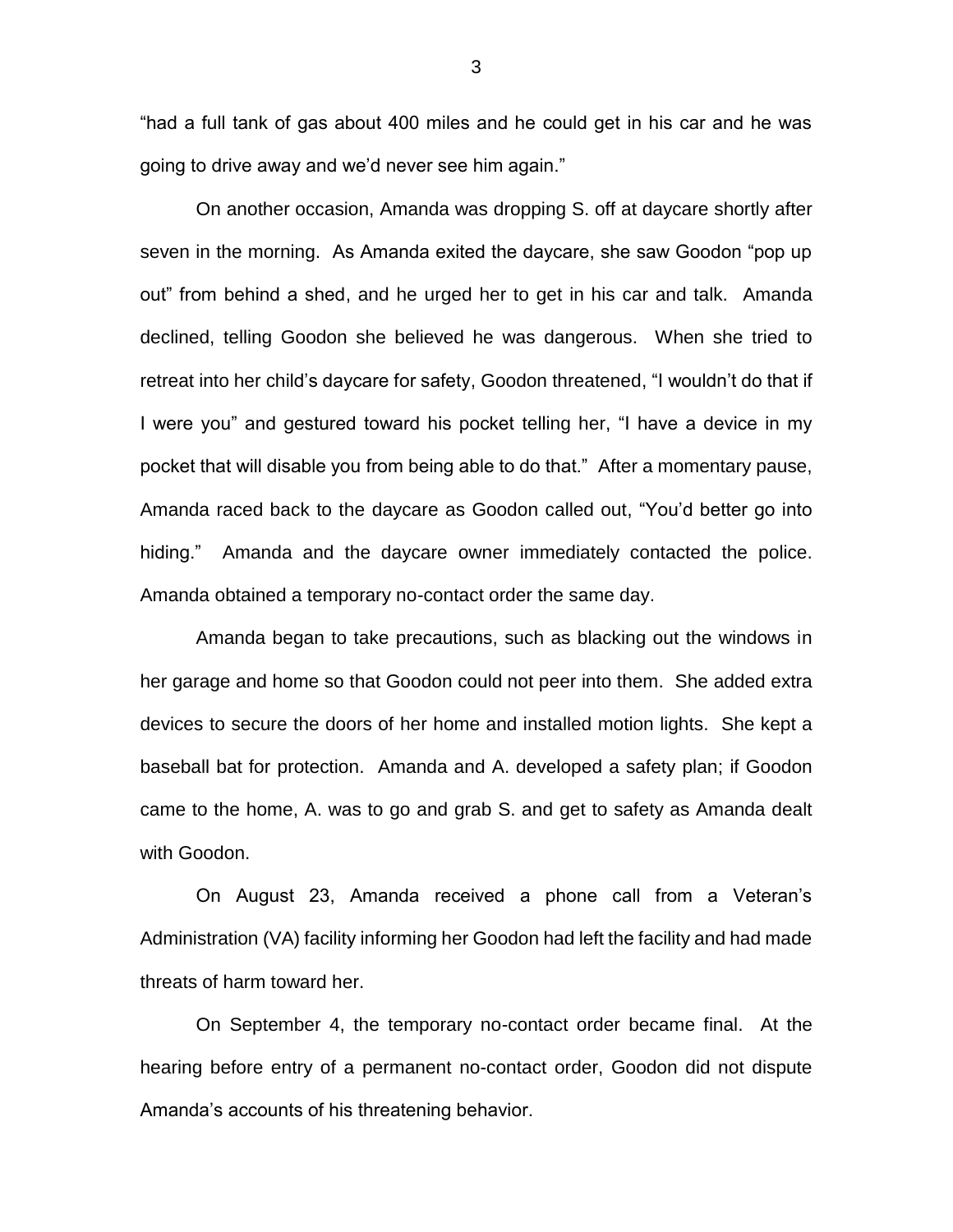"had a full tank of gas about 400 miles and he could get in his car and he was going to drive away and we'd never see him again."

On another occasion, Amanda was dropping S. off at daycare shortly after seven in the morning. As Amanda exited the daycare, she saw Goodon "pop up out" from behind a shed, and he urged her to get in his car and talk. Amanda declined, telling Goodon she believed he was dangerous. When she tried to retreat into her child's daycare for safety, Goodon threatened, "I wouldn't do that if I were you" and gestured toward his pocket telling her, "I have a device in my pocket that will disable you from being able to do that." After a momentary pause, Amanda raced back to the daycare as Goodon called out, "You'd better go into hiding." Amanda and the daycare owner immediately contacted the police. Amanda obtained a temporary no-contact order the same day.

Amanda began to take precautions, such as blacking out the windows in her garage and home so that Goodon could not peer into them. She added extra devices to secure the doors of her home and installed motion lights. She kept a baseball bat for protection. Amanda and A. developed a safety plan; if Goodon came to the home, A. was to go and grab S. and get to safety as Amanda dealt with Goodon.

On August 23, Amanda received a phone call from a Veteran's Administration (VA) facility informing her Goodon had left the facility and had made threats of harm toward her.

On September 4, the temporary no-contact order became final. At the hearing before entry of a permanent no-contact order, Goodon did not dispute Amanda's accounts of his threatening behavior.

3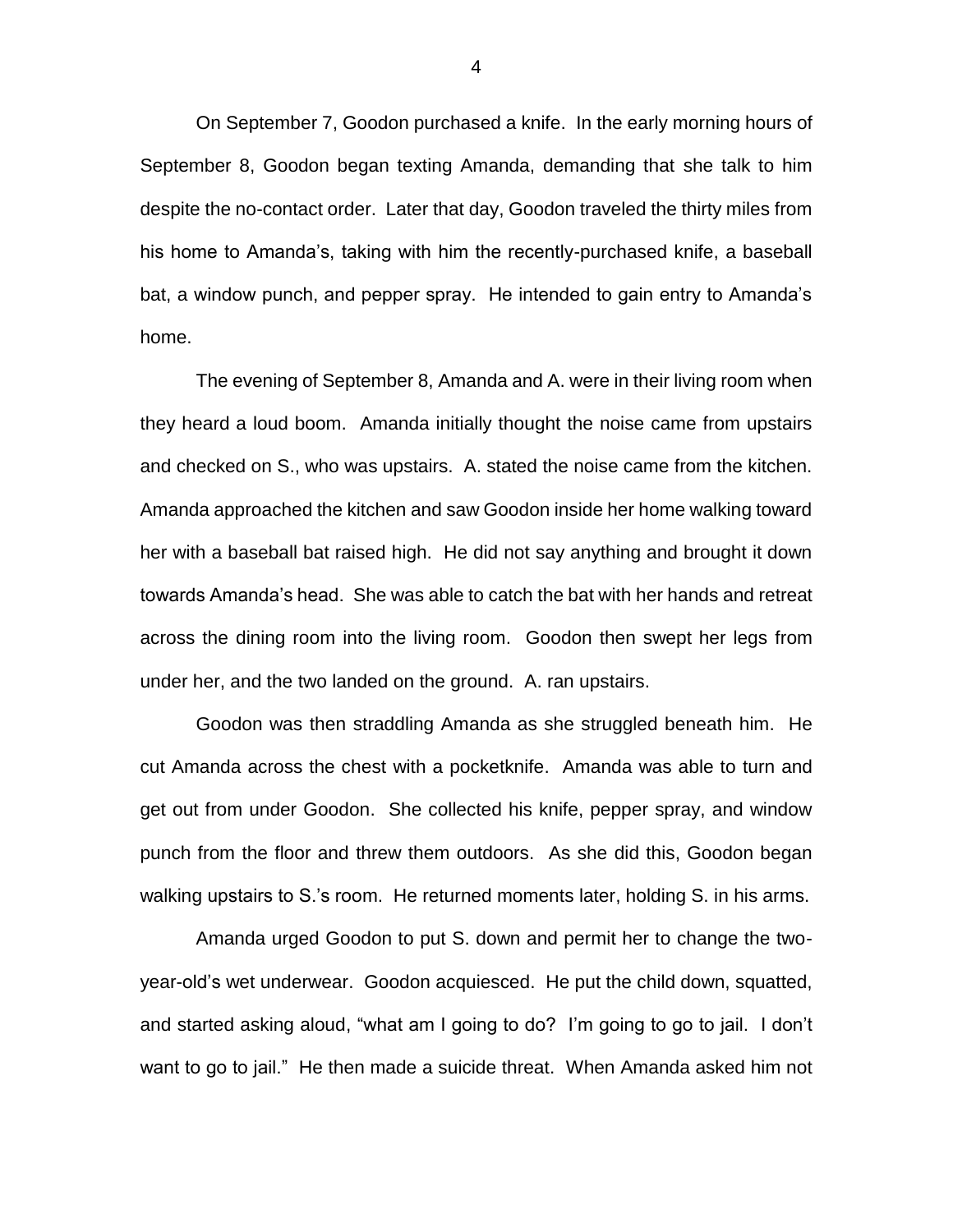On September 7, Goodon purchased a knife. In the early morning hours of September 8, Goodon began texting Amanda, demanding that she talk to him despite the no-contact order. Later that day, Goodon traveled the thirty miles from his home to Amanda's, taking with him the recently-purchased knife, a baseball bat, a window punch, and pepper spray. He intended to gain entry to Amanda's home.

The evening of September 8, Amanda and A. were in their living room when they heard a loud boom. Amanda initially thought the noise came from upstairs and checked on S., who was upstairs. A. stated the noise came from the kitchen. Amanda approached the kitchen and saw Goodon inside her home walking toward her with a baseball bat raised high. He did not say anything and brought it down towards Amanda's head. She was able to catch the bat with her hands and retreat across the dining room into the living room. Goodon then swept her legs from under her, and the two landed on the ground. A. ran upstairs.

Goodon was then straddling Amanda as she struggled beneath him. He cut Amanda across the chest with a pocketknife. Amanda was able to turn and get out from under Goodon. She collected his knife, pepper spray, and window punch from the floor and threw them outdoors. As she did this, Goodon began walking upstairs to S.'s room. He returned moments later, holding S. in his arms.

Amanda urged Goodon to put S. down and permit her to change the twoyear-old's wet underwear. Goodon acquiesced. He put the child down, squatted, and started asking aloud, "what am I going to do? I'm going to go to jail. I don't want to go to jail." He then made a suicide threat. When Amanda asked him not

4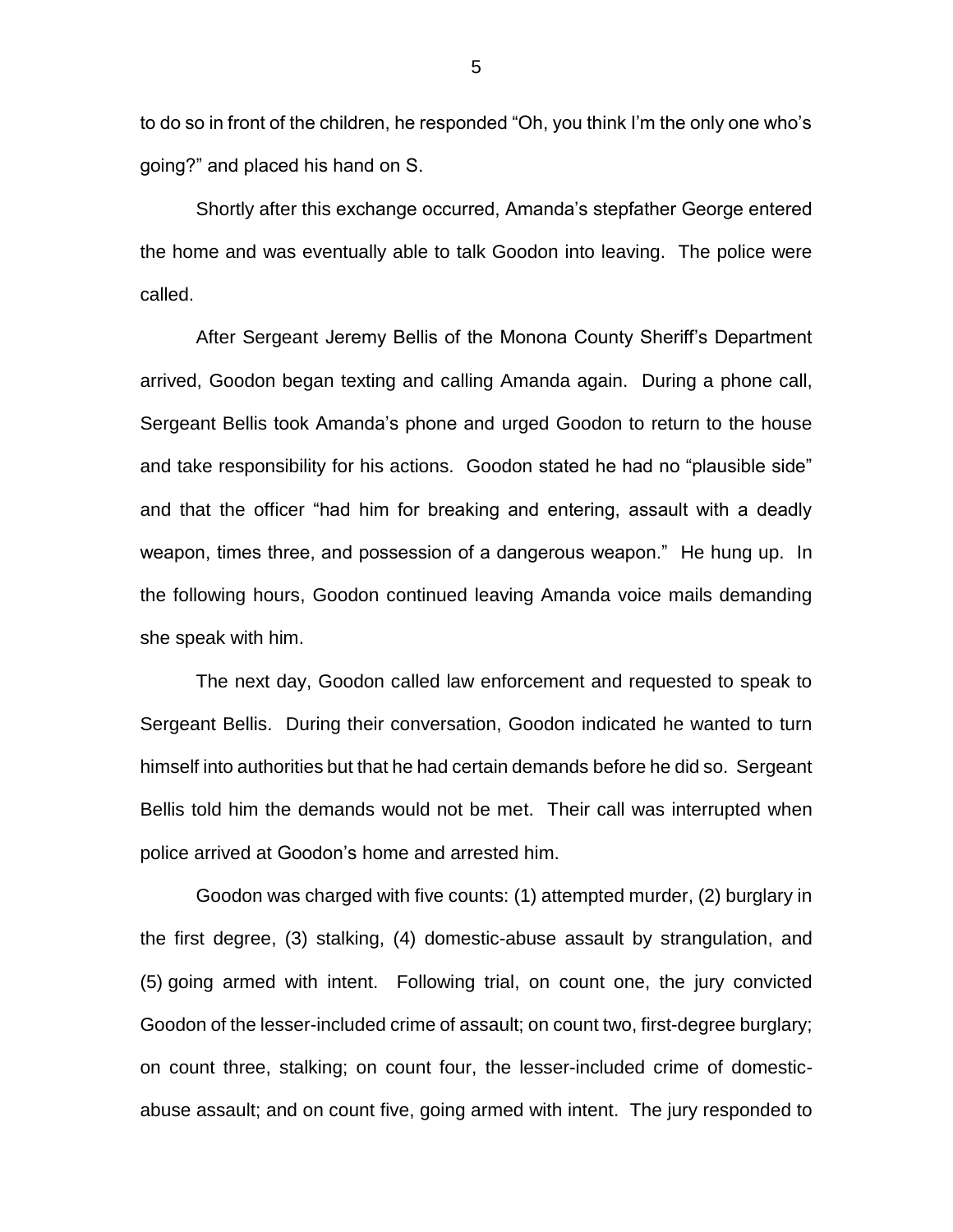to do so in front of the children, he responded "Oh, you think I'm the only one who's going?" and placed his hand on S.

Shortly after this exchange occurred, Amanda's stepfather George entered the home and was eventually able to talk Goodon into leaving. The police were called.

After Sergeant Jeremy Bellis of the Monona County Sheriff's Department arrived, Goodon began texting and calling Amanda again. During a phone call, Sergeant Bellis took Amanda's phone and urged Goodon to return to the house and take responsibility for his actions. Goodon stated he had no "plausible side" and that the officer "had him for breaking and entering, assault with a deadly weapon, times three, and possession of a dangerous weapon." He hung up. In the following hours, Goodon continued leaving Amanda voice mails demanding she speak with him.

The next day, Goodon called law enforcement and requested to speak to Sergeant Bellis. During their conversation, Goodon indicated he wanted to turn himself into authorities but that he had certain demands before he did so. Sergeant Bellis told him the demands would not be met. Their call was interrupted when police arrived at Goodon's home and arrested him.

Goodon was charged with five counts: (1) attempted murder, (2) burglary in the first degree, (3) stalking, (4) domestic-abuse assault by strangulation, and (5) going armed with intent. Following trial, on count one, the jury convicted Goodon of the lesser-included crime of assault; on count two, first-degree burglary; on count three, stalking; on count four, the lesser-included crime of domesticabuse assault; and on count five, going armed with intent. The jury responded to

5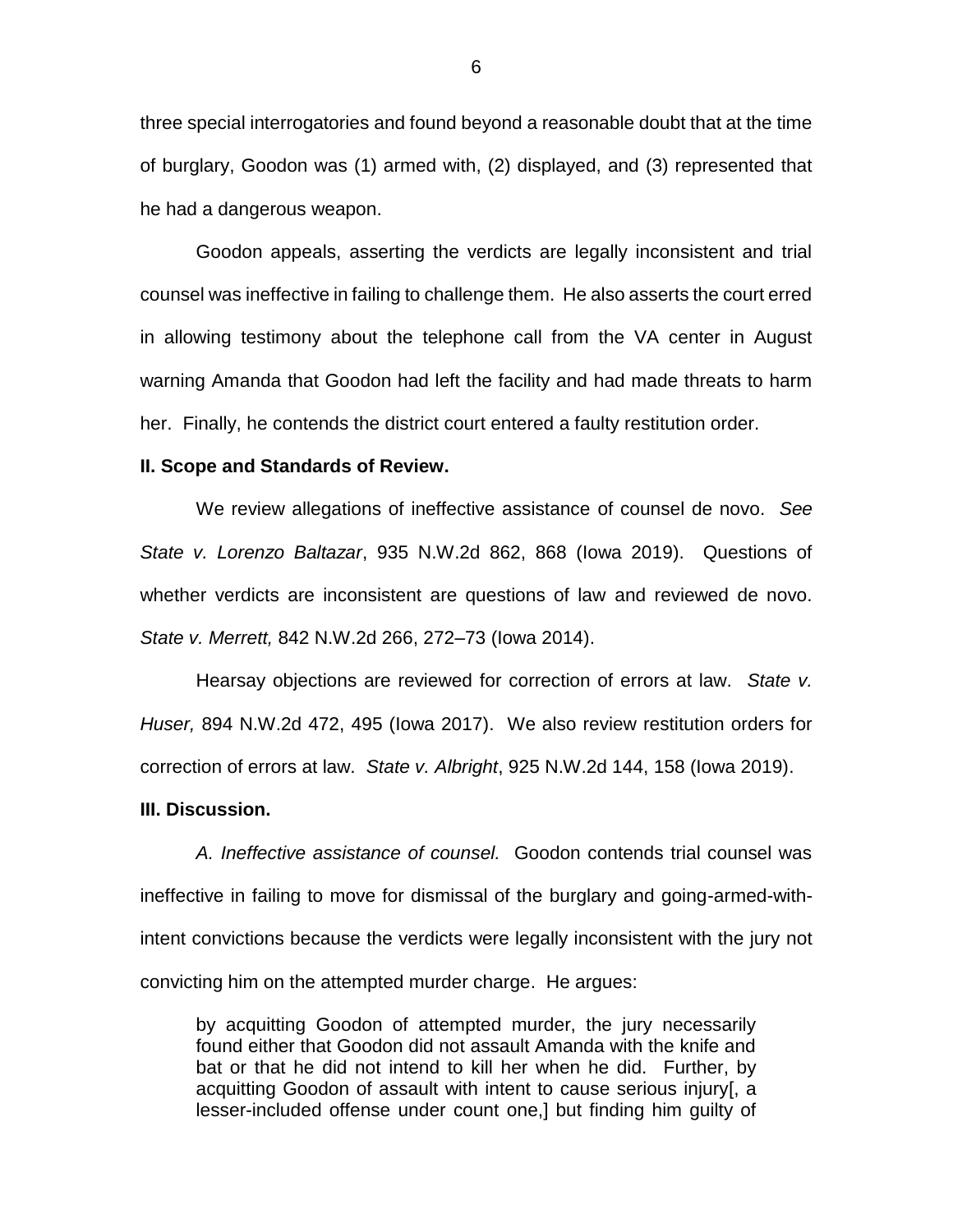three special interrogatories and found beyond a reasonable doubt that at the time of burglary, Goodon was (1) armed with, (2) displayed, and (3) represented that he had a dangerous weapon.

Goodon appeals, asserting the verdicts are legally inconsistent and trial counsel was ineffective in failing to challenge them. He also asserts the court erred in allowing testimony about the telephone call from the VA center in August warning Amanda that Goodon had left the facility and had made threats to harm her. Finally, he contends the district court entered a faulty restitution order.

#### **II. Scope and Standards of Review.**

We review allegations of ineffective assistance of counsel de novo. *See State v. Lorenzo Baltazar*, 935 N.W.2d 862, 868 (Iowa 2019). Questions of whether verdicts are inconsistent are questions of law and reviewed de novo. *State v. Merrett,* 842 N.W.2d 266, 272–73 (Iowa 2014).

Hearsay objections are reviewed for correction of errors at law. *State v. Huser,* 894 N.W.2d 472, 495 (Iowa 2017). We also review restitution orders for correction of errors at law. *State v. Albright*, 925 N.W.2d 144, 158 (Iowa 2019).

#### **III. Discussion.**

*A. Ineffective assistance of counsel.* Goodon contends trial counsel was ineffective in failing to move for dismissal of the burglary and going-armed-withintent convictions because the verdicts were legally inconsistent with the jury not convicting him on the attempted murder charge. He argues:

by acquitting Goodon of attempted murder, the jury necessarily found either that Goodon did not assault Amanda with the knife and bat or that he did not intend to kill her when he did. Further, by acquitting Goodon of assault with intent to cause serious injury[, a lesser-included offense under count one,] but finding him guilty of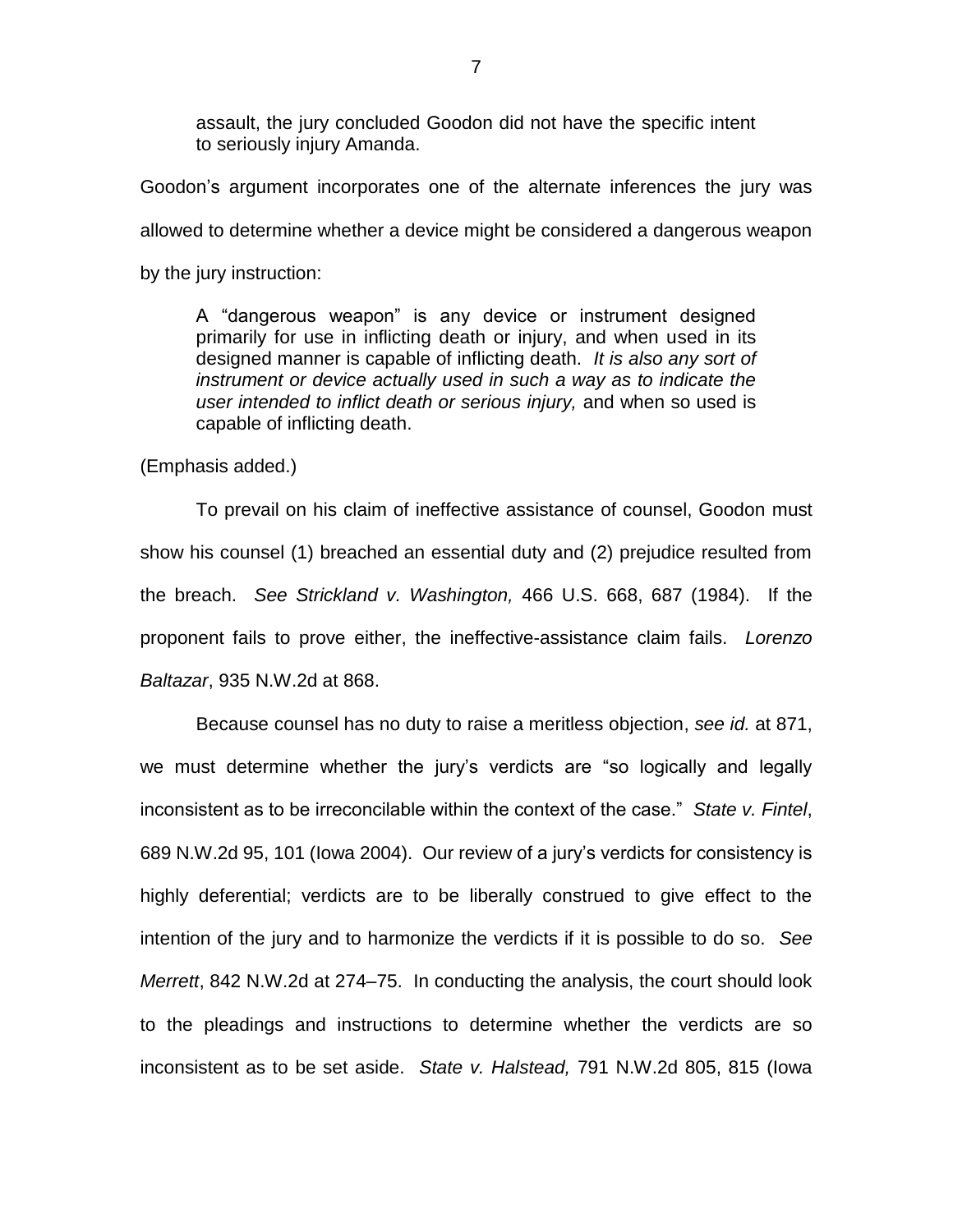assault, the jury concluded Goodon did not have the specific intent to seriously injury Amanda.

Goodon's argument incorporates one of the alternate inferences the jury was allowed to determine whether a device might be considered a dangerous weapon by the jury instruction:

A "dangerous weapon" is any device or instrument designed primarily for use in inflicting death or injury, and when used in its designed manner is capable of inflicting death. *It is also any sort of instrument or device actually used in such a way as to indicate the user intended to inflict death or serious injury,* and when so used is capable of inflicting death.

(Emphasis added.)

To prevail on his claim of ineffective assistance of counsel, Goodon must show his counsel (1) breached an essential duty and (2) prejudice resulted from the breach. *See Strickland v. Washington,* 466 U.S. 668, 687 (1984). If the proponent fails to prove either, the ineffective-assistance claim fails. *Lorenzo Baltazar*, 935 N.W.2d at 868.

Because counsel has no duty to raise a meritless objection, *see id.* at 871, we must determine whether the jury's verdicts are "so logically and legally inconsistent as to be irreconcilable within the context of the case." *State v. Fintel*, 689 N.W.2d 95, 101 (Iowa 2004). Our review of a jury's verdicts for consistency is highly deferential; verdicts are to be liberally construed to give effect to the intention of the jury and to harmonize the verdicts if it is possible to do so. *See Merrett*, 842 N.W.2d at 274–75. In conducting the analysis, the court should look to the pleadings and instructions to determine whether the verdicts are so inconsistent as to be set aside. *State v. Halstead,* 791 N.W.2d 805, 815 (Iowa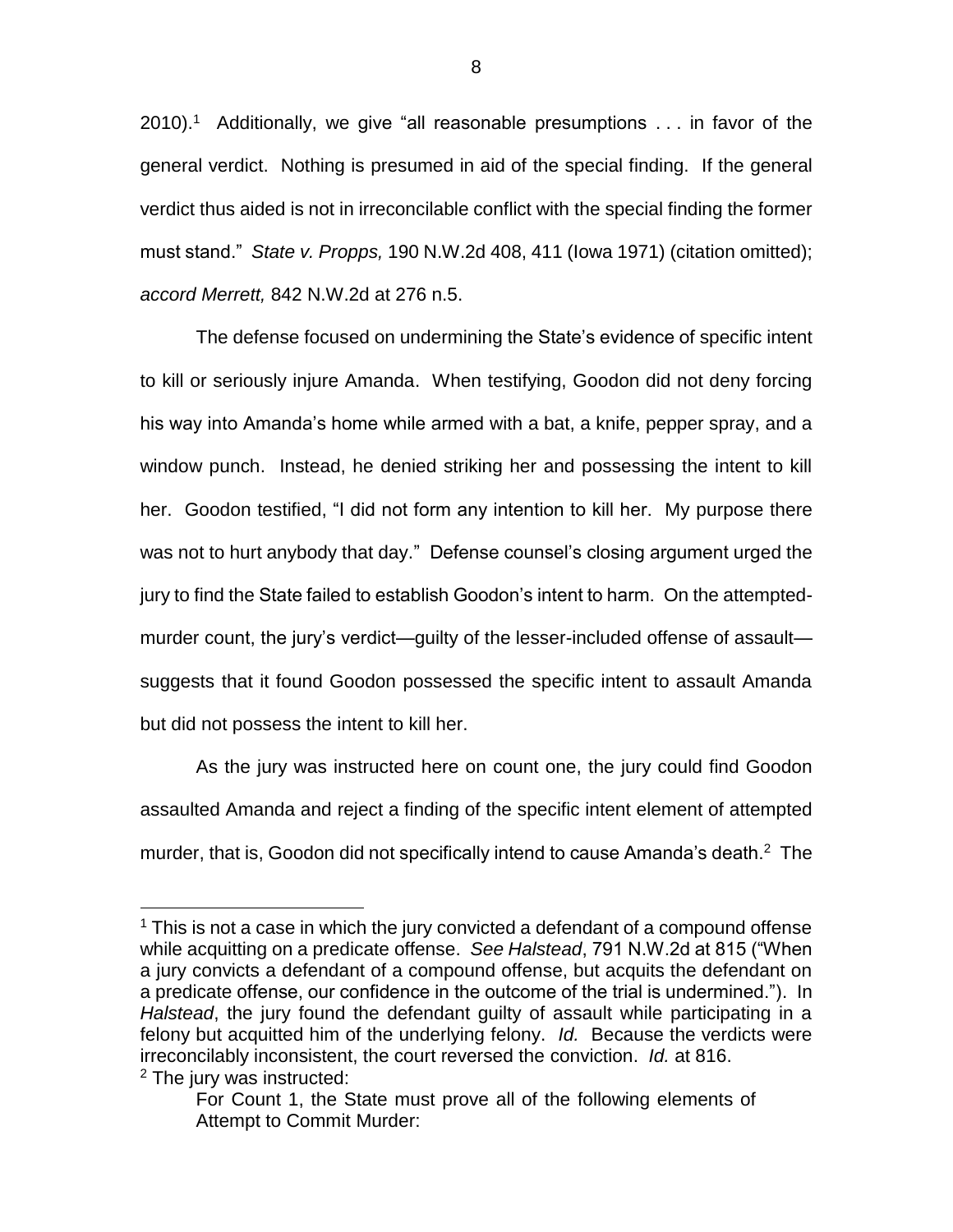2010).<sup>1</sup> Additionally, we give "all reasonable presumptions  $\dots$  in favor of the general verdict. Nothing is presumed in aid of the special finding. If the general verdict thus aided is not in irreconcilable conflict with the special finding the former must stand." *State v. Propps,* 190 N.W.2d 408, 411 (Iowa 1971) (citation omitted); *accord Merrett,* 842 N.W.2d at 276 n.5.

The defense focused on undermining the State's evidence of specific intent to kill or seriously injure Amanda. When testifying, Goodon did not deny forcing his way into Amanda's home while armed with a bat, a knife, pepper spray, and a window punch. Instead, he denied striking her and possessing the intent to kill her. Goodon testified, "I did not form any intention to kill her. My purpose there was not to hurt anybody that day." Defense counsel's closing argument urged the jury to find the State failed to establish Goodon's intent to harm. On the attemptedmurder count, the jury's verdict—guilty of the lesser-included offense of assault suggests that it found Goodon possessed the specific intent to assault Amanda but did not possess the intent to kill her.

As the jury was instructed here on count one, the jury could find Goodon assaulted Amanda and reject a finding of the specific intent element of attempted murder, that is, Goodon did not specifically intend to cause Amanda's death.<sup>2</sup> The

 $\overline{a}$ 

 $1$  This is not a case in which the jury convicted a defendant of a compound offense while acquitting on a predicate offense. *See Halstead*, 791 N.W.2d at 815 ("When a jury convicts a defendant of a compound offense, but acquits the defendant on a predicate offense, our confidence in the outcome of the trial is undermined."). In *Halstead*, the jury found the defendant guilty of assault while participating in a felony but acquitted him of the underlying felony. *Id.* Because the verdicts were irreconcilably inconsistent, the court reversed the conviction. *Id.* at 816. <sup>2</sup> The jury was instructed:

For Count 1, the State must prove all of the following elements of Attempt to Commit Murder: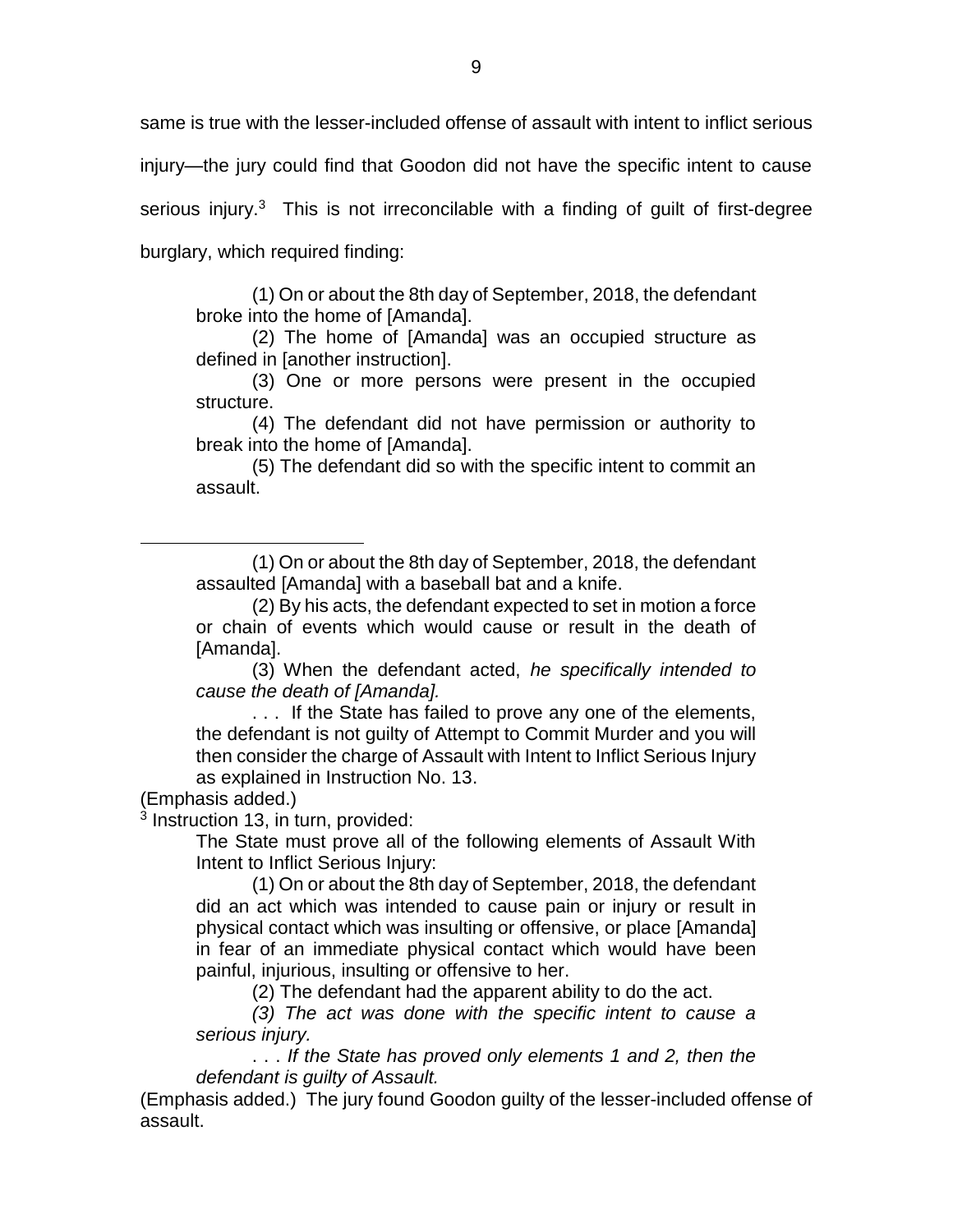same is true with the lesser-included offense of assault with intent to inflict serious injury—the jury could find that Goodon did not have the specific intent to cause serious injury. $3$  This is not irreconcilable with a finding of guilt of first-degree burglary, which required finding:

(1) On or about the 8th day of September, 2018, the defendant broke into the home of [Amanda].

(2) The home of [Amanda] was an occupied structure as defined in [another instruction].

(3) One or more persons were present in the occupied structure.

(4) The defendant did not have permission or authority to break into the home of [Amanda].

(5) The defendant did so with the specific intent to commit an assault.

(1) On or about the 8th day of September, 2018, the defendant assaulted [Amanda] with a baseball bat and a knife.

(3) When the defendant acted, *he specifically intended to cause the death of [Amanda].*

. . . If the State has failed to prove any one of the elements, the defendant is not guilty of Attempt to Commit Murder and you will then consider the charge of Assault with Intent to Inflict Serious Injury as explained in Instruction No. 13.

(Emphasis added.)

 $\overline{a}$ 

3 Instruction 13, in turn, provided:

The State must prove all of the following elements of Assault With Intent to Inflict Serious Injury:

(1) On or about the 8th day of September, 2018, the defendant did an act which was intended to cause pain or injury or result in physical contact which was insulting or offensive, or place [Amanda] in fear of an immediate physical contact which would have been painful, injurious, insulting or offensive to her.

(2) The defendant had the apparent ability to do the act.

*(3) The act was done with the specific intent to cause a serious injury.*

. . . *If the State has proved only elements 1 and 2, then the defendant is guilty of Assault.* 

(Emphasis added.) The jury found Goodon guilty of the lesser-included offense of assault.

<sup>(2)</sup> By his acts, the defendant expected to set in motion a force or chain of events which would cause or result in the death of [Amanda].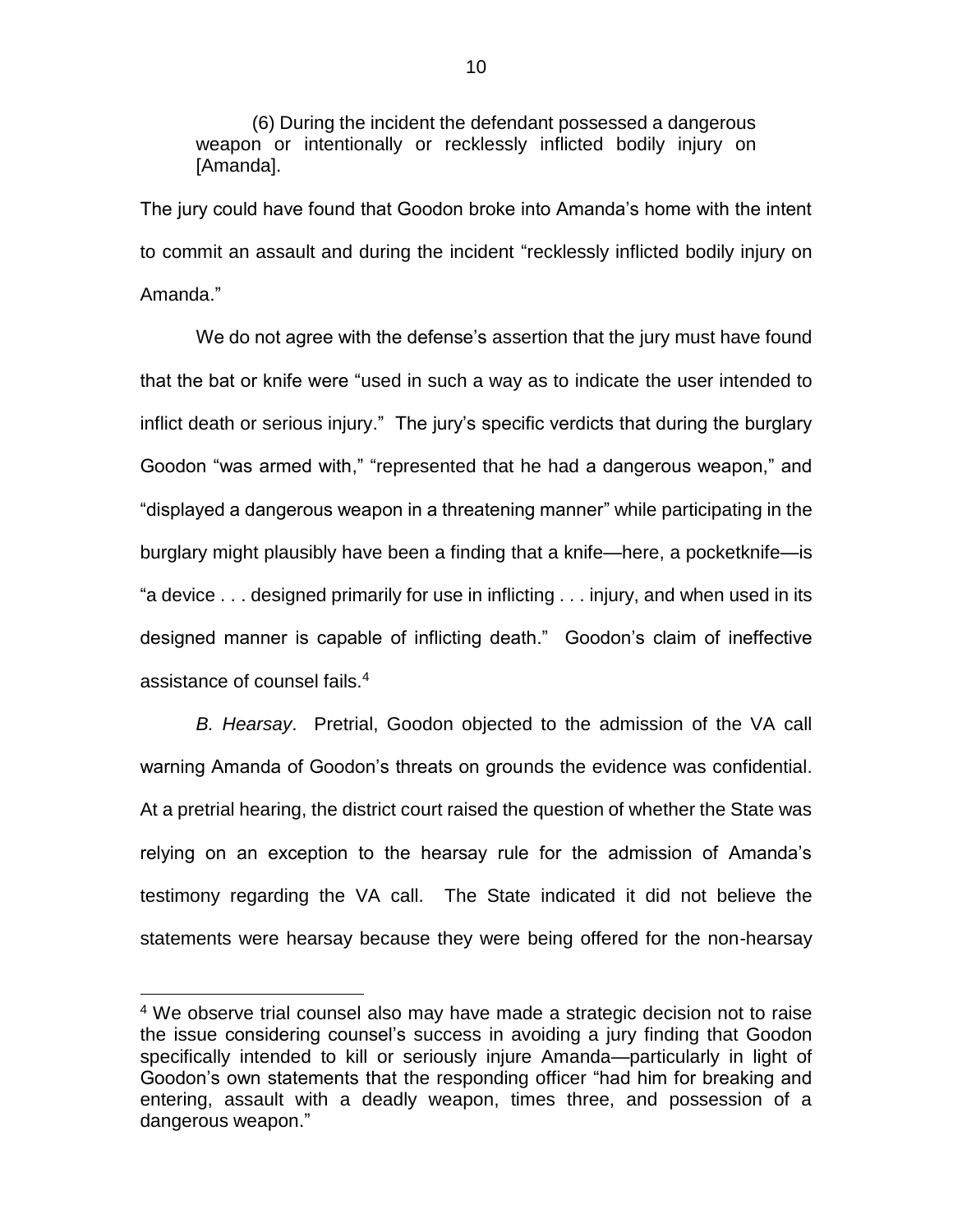(6) During the incident the defendant possessed a dangerous weapon or intentionally or recklessly inflicted bodily injury on [Amanda].

The jury could have found that Goodon broke into Amanda's home with the intent to commit an assault and during the incident "recklessly inflicted bodily injury on Amanda."

We do not agree with the defense's assertion that the jury must have found that the bat or knife were "used in such a way as to indicate the user intended to inflict death or serious injury." The jury's specific verdicts that during the burglary Goodon "was armed with," "represented that he had a dangerous weapon," and "displayed a dangerous weapon in a threatening manner" while participating in the burglary might plausibly have been a finding that a knife—here, a pocketknife—is "a device . . . designed primarily for use in inflicting . . . injury, and when used in its designed manner is capable of inflicting death." Goodon's claim of ineffective assistance of counsel fails.<sup>4</sup>

*B. Hearsay*. Pretrial, Goodon objected to the admission of the VA call warning Amanda of Goodon's threats on grounds the evidence was confidential. At a pretrial hearing, the district court raised the question of whether the State was relying on an exception to the hearsay rule for the admission of Amanda's testimony regarding the VA call. The State indicated it did not believe the statements were hearsay because they were being offered for the non-hearsay

 $\overline{a}$ 

<sup>&</sup>lt;sup>4</sup> We observe trial counsel also may have made a strategic decision not to raise the issue considering counsel's success in avoiding a jury finding that Goodon specifically intended to kill or seriously injure Amanda—particularly in light of Goodon's own statements that the responding officer "had him for breaking and entering, assault with a deadly weapon, times three, and possession of a dangerous weapon."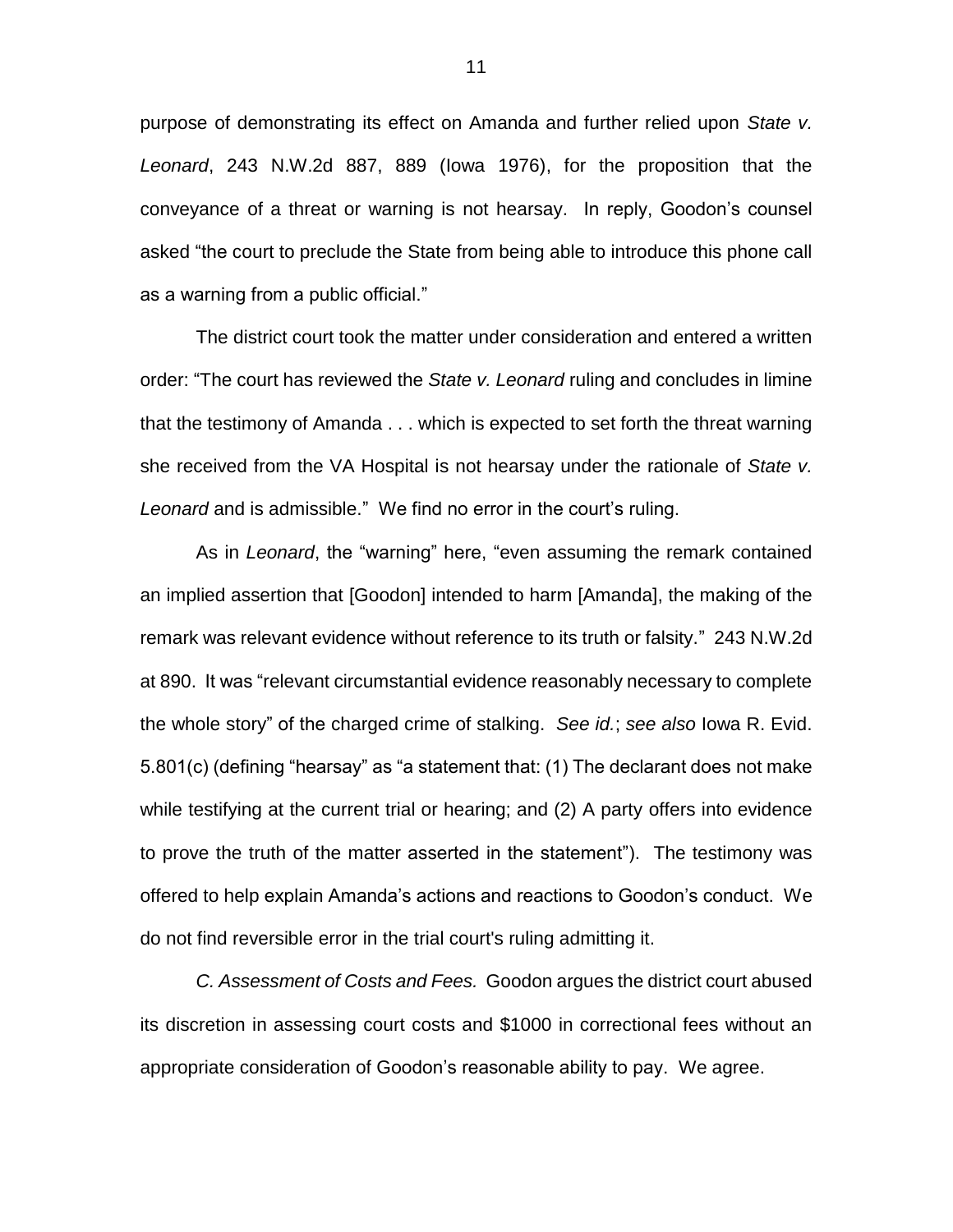purpose of demonstrating its effect on Amanda and further relied upon *State v. Leonard*, 243 N.W.2d 887, 889 (Iowa 1976), for the proposition that the conveyance of a threat or warning is not hearsay. In reply, Goodon's counsel asked "the court to preclude the State from being able to introduce this phone call as a warning from a public official."

The district court took the matter under consideration and entered a written order: "The court has reviewed the *State v. Leonard* ruling and concludes in limine that the testimony of Amanda . . . which is expected to set forth the threat warning she received from the VA Hospital is not hearsay under the rationale of *State v. Leonard* and is admissible." We find no error in the court's ruling.

As in *Leonard*, the "warning" here, "even assuming the remark contained an implied assertion that [Goodon] intended to harm [Amanda], the making of the remark was relevant evidence without reference to its truth or falsity." 243 N.W.2d at 890. It was "relevant circumstantial evidence reasonably necessary to complete the whole story" of the charged crime of stalking. *See id.*; *see also* Iowa R. Evid. 5.801(c) (defining "hearsay" as "a statement that: (1) The declarant does not make while testifying at the current trial or hearing; and (2) A party offers into evidence to prove the truth of the matter asserted in the statement"). The testimony was offered to help explain Amanda's actions and reactions to Goodon's conduct. We do not find reversible error in the trial court's ruling admitting it.

*C. Assessment of Costs and Fees.* Goodon argues the district court abused its discretion in assessing court costs and \$1000 in correctional fees without an appropriate consideration of Goodon's reasonable ability to pay. We agree.